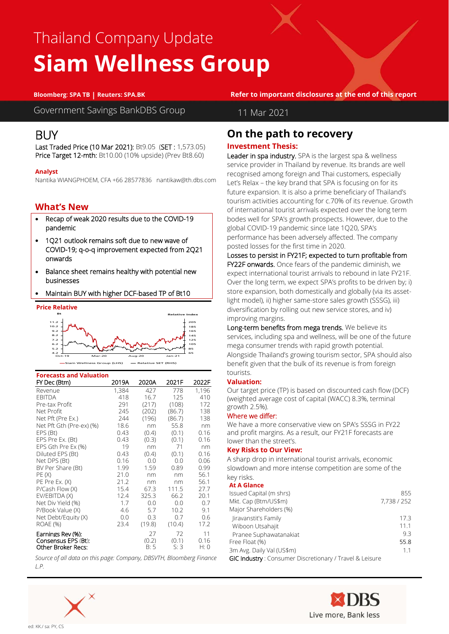# Thailand Company Update **Siam Wellness Group**

**Bloomberg**: **SPA TB | Reuters: SPA.BK Refer to important disclosures at the end of this report**

Government Savings BankDBS Group

# 11 Mar 2021

# BUY

Last Traded Price (10 Mar 2021): Bt9.05 (SET : 1,573.05) Price Target 12-mth: Bt10.00 (10% upside) (Prev Bt8.60)

### **Analyst**

Nantika WIANGPHOEM, CFA +66 28577836 nantikaw@th.dbs.com

# **What's New**

Research . Equity

- Recap of weak 2020 results due to the COVID-19 pandemic
- 1Q21 outlook remains soft due to new wave of COVID-19; q-o-q improvement expected from 2Q21 onwards
- Balance sheet remains healthy with potential new businesses
- Maintain BUY with higher DCF-based TP of Bt10



| <b>Forecasts and Valuation</b> |       |        |        |       |
|--------------------------------|-------|--------|--------|-------|
| FY Dec (Btm)                   | 2019A | 2020A  | 2021F  | 2022F |
| Revenue                        | 1,384 | 427    | 778    | 1.196 |
| <b>FBITDA</b>                  | 418   | 16.7   | 125    | 410   |
| Pre-tax Profit                 | 291   | (217)  | (108)  | 172   |
| Net Profit                     | 245   | (202)  | (86.7) | 138   |
| Net Pft (Pre Ex.)              | 244   | (196)  | (86.7) | 138   |
| Net Pft Gth (Pre-ex) (%)       | 18.6  | nm     | 55.8   | nm    |
| EPS (Bt)                       | 0.43  | (0.4)  | (0.1)  | 0.16  |
| EPS Pre Ex. (Bt)               | 0.43  | (0.3)  | (0.1)  | 0.16  |
| EPS Gth Pre Ex (%)             | 19    | nm     | 71     | nm    |
| Diluted EPS (Bt)               | 0.43  | (0.4)  | (0.1)  | 0.16  |
| Net DPS (Bt)                   | 0.16  | 0.0    | 0.0    | 0.06  |
| BV Per Share (Bt)              | 1.99  | 1.59   | 0.89   | 0.99  |
| PE(X)                          | 21.0  | nm     | nm     | 56.1  |
| PE Pre Ex. (X)                 | 21.2  | nm     | nm     | 56.1  |
| P/Cash Flow (X)                | 15.4  | 67.3   | 111.5  | 27.7  |
| EV/EBITDA (X)                  | 12.4  | 325.3  | 66.2   | 20.1  |
| Net Div Yield (%)              | 1.7   | 0.0    | 0.0    | 0.7   |
| P/Book Value (X)               | 4.6   | 5.7    | 10.2   | 9.1   |
| Net Debt/Equity (X)            | 0.0   | 0.3    | 0.7    | 0.6   |
| <b>ROAE (%)</b>                | 23.4  | (19.8) | (10.4) | 17.2  |
| Earnings Rev (%):              |       | 27     | 72     | 11    |
| Consensus EPS (Bt):            |       | (0.2)  | (0.1)  | 0.16  |
| Other Broker Recs:             |       | B:5    | S: 3   | H: 0  |

*Source of all data on this page: Company, DBSVTH, Bloomberg Finance L.P.*



# **On the path to recovery**

# **Investment Thesis:**

Leader in spa industry. SPA is the largest spa & wellness service provider in Thailand by revenue. Its brands are well recognised among foreign and Thai customers, especially Let's Relax – the key brand that SPA is focusing on for its future expansion. It is also a prime beneficiary of Thailand's tourism activities accounting for c.70% of its revenue. Growth of international tourist arrivals expected over the long term bodes well for SPA's growth prospects. However, due to the global COVID-19 pandemic since late 1Q20, SPA's performance has been adversely affected. The company posted losses for the first time in 2020.

Losses to persist in FY21F; expected to turn profitable from FY22F onwards. Once fears of the pandemic diminish, we expect international tourist arrivals to rebound in late FY21F. Over the long term, we expect SPA's profits to be driven by; i) store expansion, both domestically and globally (via its assetlight model), ii) higher same-store sales growth (SSSG), iii) diversification by rolling out new service stores, and iv) improving margins.

Long-term benefits from mega trends. We believe its services, including spa and wellness, will be one of the future mega consumer trends with rapid growth potential. Alongside Thailand's growing tourism sector, SPA should also benefit given that the bulk of its revenue is from foreign tourists.

# **Valuation:**

Our target price (TP) is based on discounted cash flow (DCF) (weighted average cost of capital (WACC) 8.3%, terminal growth 2.5%).

# Where we differ:

We have a more conservative view on SPA's SSSG in FY22 and profit margins. As a result, our FY21F forecasts are lower than the street's.

# **Key Risks to Our View:**

A sharp drop in international tourist arrivals, economic slowdown and more intense competition are some of the

# key risks.<br>At A Glance

| <b>At A Glance</b>                                      |             |
|---------------------------------------------------------|-------------|
| Issued Capital (m shrs)                                 | 855         |
| Mkt. Cap (Btm/US\$m)                                    | 7,738 / 252 |
| Major Shareholders (%)                                  |             |
| Jiravanstit's Family                                    | 17.3        |
| Wiboon Utsahajit                                        | 11.1        |
| Pranee Suphawatanakiat                                  | 93          |
| Free Float (%)                                          | 55.8        |
| 3m Avg. Daily Val (US\$m)                               | 1.1         |
| GIC Industry: Consumer Discretionary / Travel & Leisure |             |

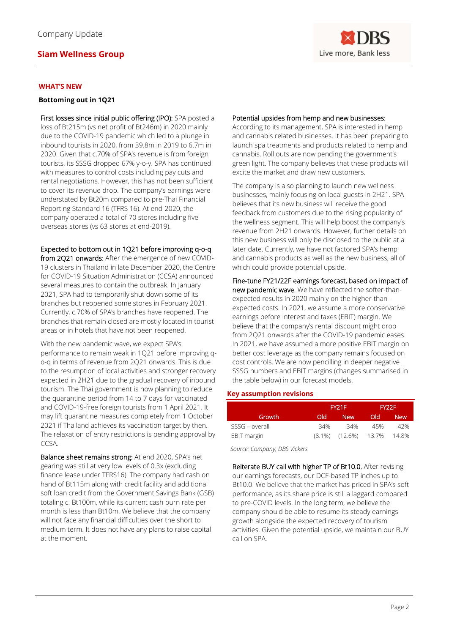

### **WHAT'S NEW**

#### **Bottoming out in 1Q21**

First losses since initial public offering (IPO): SPA posted a loss of Bt215m (vs net profit of Bt246m) in 2020 mainly due to the COVID-19 pandemic which led to a plunge in inbound tourists in 2020, from 39.8m in 2019 to 6.7m in 2020. Given that c.70% of SPA's revenue is from foreign tourists, its SSSG dropped 67% y-o-y. SPA has continued with measures to control costs including pay cuts and rental negotiations. However, this has not been sufficient to cover its revenue drop. The company's earnings were understated by Bt20m compared to pre-Thai Financial Reporting Standard 16 (TFRS 16). At end-2020, the company operated a total of 70 stores including five overseas stores (vs 63 stores at end-2019).

### Expected to bottom out in 1Q21 before improving q-o-q

from 2Q21 onwards: After the emergence of new COVID-19 clusters in Thailand in late December 2020, the Centre for COVID-19 Situation Administration (CCSA) announced several measures to contain the outbreak. In January 2021, SPA had to temporarily shut down some of its branches but reopened some stores in February 2021. Currently, c.70% of SPA's branches have reopened. The branches that remain closed are mostly located in tourist areas or in hotels that have not been reopened.

With the new pandemic wave, we expect SPA's performance to remain weak in 1Q21 before improving qo-q in terms of revenue from 2Q21 onwards. This is due to the resumption of local activities and stronger recovery expected in 2H21 due to the gradual recovery of inbound tourism. The Thai government is now planning to reduce the quarantine period from 14 to 7 days for vaccinated and COVID-19-free foreign tourists from 1 April 2021. It may lift quarantine measures completely from 1 October 2021 if Thailand achieves its vaccination target by then. The relaxation of entry restrictions is pending approval by CCSA.

Balance sheet remains strong: At end 2020, SPA's net gearing was still at very low levels of 0.3x (excluding finance lease under TFRS16). The company had cash on hand of Bt115m along with credit facility and additional soft loan credit from the Government Savings Bank (GSB) totaling c. Bt100m, while its current cash burn rate per month is less than Bt10m. We believe that the company will not face any financial difficulties over the short to medium term. It does not have any plans to raise capital at the moment.

#### Potential upsides from hemp and new businesses:

According to its management, SPA is interested in hemp and cannabis related businesses. It has been preparing to launch spa treatments and products related to hemp and cannabis. Roll outs are now pending the government's green light. The company believes that these products will excite the market and draw new customers.

The company is also planning to launch new wellness businesses, mainly focusing on local guests in 2H21. SPA believes that its new business will receive the good feedback from customers due to the rising popularity of the wellness segment. This will help boost the company's revenue from 2H21 onwards. However, further details on this new business will only be disclosed to the public at a later date. Currently, we have not factored SPA's hemp and cannabis products as well as the new business, all of which could provide potential upside.

Fine-tune FY21/22F earnings forecast, based on impact of new pandemic wave. We have reflected the softer-thanexpected results in 2020 mainly on the higher-thanexpected costs. In 2021, we assume a more conservative earnings before interest and taxes (EBIT) margin. We believe that the company's rental discount might drop from 2Q21 onwards after the COVID-19 pandemic eases. In 2021, we have assumed a more positive EBIT margin on better cost leverage as the company remains focused on cost controls. We are now pencilling in deeper negative SSSG numbers and EBIT margins (changes summarised in the table below) in our forecast models.

### **Key assumption revisions**

|                | FY21F |                            | FY22F |            |
|----------------|-------|----------------------------|-------|------------|
| Growth         | Old - | 'New                       | Old.  | <b>New</b> |
| SSSG - overall | 34%   | 34%                        | 45%   | 42%        |
| EBIT margin    |       | $(8.1\%)$ $(12.6\%)$ 13.7% |       | 14.8%      |

*Source: Company, DBS Vickers*

Reiterate BUY call with higher TP of Bt10.0. After revising our earnings forecasts, our DCF-based TP inches up to Bt10.0. We believe that the market has priced in SPA's soft performance, as its share price is still a laggard compared to pre-COVID levels. In the long term, we believe the company should be able to resume its steady earnings growth alongside the expected recovery of tourism activities. Given the potential upside, we maintain our BUY call on SPA.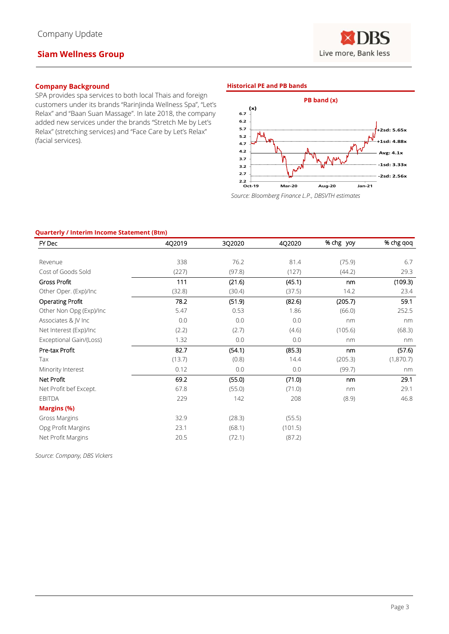**NRS** Live more, Bank less

# **Company Background**

SPA provides spa services to both local Thais and foreign customers under its brands "RarinJinda Wellness Spa", "Let's Relax" and "Baan Suan Massage". In late 2018, the company added new services under the brands "Stretch Me by Let's Relax" (stretching services) and "Face Care by Let's Relax" (facial services).

#### **Historical PE and PB bands**



*Source: Bloomberg Finance L.P., DBSVTH estimates*

#### **Quarterly / Interim Income Statement (Btm)**

| FY Dec                  | 4Q2019 | 3Q2020 | 4Q2020  | % chg yoy | % chg qoq |
|-------------------------|--------|--------|---------|-----------|-----------|
|                         |        |        |         |           |           |
| Revenue                 | 338    | 76.2   | 81.4    | (75.9)    | 6.7       |
| Cost of Goods Sold      | (227)  | (97.8) | (127)   | (44.2)    | 29.3      |
| <b>Gross Profit</b>     | 111    | (21.6) | (45.1)  | nm        | (109.3)   |
| Other Oper. (Exp)/Inc   | (32.8) | (30.4) | (37.5)  | 14.2      | 23.4      |
| <b>Operating Profit</b> | 78.2   | (51.9) | (82.6)  | (205.7)   | 59.1      |
| Other Non Opg (Exp)/Inc | 5.47   | 0.53   | 1.86    | (66.0)    | 252.5     |
| Associates & JV Inc     | 0.0    | 0.0    | 0.0     | nm        | nm        |
| Net Interest (Exp)/Inc  | (2.2)  | (2.7)  | (4.6)   | (105.6)   | (68.3)    |
| Exceptional Gain/(Loss) | 1.32   | 0.0    | 0.0     | nm        | nm        |
| Pre-tax Profit          | 82.7   | (54.1) | (85.3)  | nm        | (57.6)    |
| Tax                     | (13.7) | (0.8)  | 14.4    | (205.3)   | (1,870.7) |
| Minority Interest       | 0.12   | 0.0    | 0.0     | (99.7)    | nm        |
| Net Profit              | 69.2   | (55.0) | (71.0)  | nm        | 29.1      |
| Net Profit bef Except.  | 67.8   | (55.0) | (71.0)  | nm        | 29.1      |
| <b>EBITDA</b>           | 229    | 142    | 208     | (8.9)     | 46.8      |
| <b>Margins (%)</b>      |        |        |         |           |           |
| Gross Margins           | 32.9   | (28.3) | (55.5)  |           |           |
| Opg Profit Margins      | 23.1   | (68.1) | (101.5) |           |           |
| Net Profit Margins      | 20.5   | (72.1) | (87.2)  |           |           |

*Source: Company, DBS Vickers*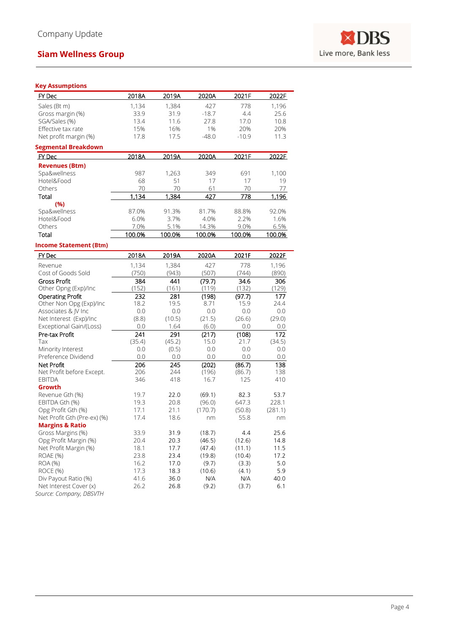

### **Key Assumptions**

| ney Assumptions                                   |        |        |         |         |         |
|---------------------------------------------------|--------|--------|---------|---------|---------|
| FY Dec                                            | 2018A  | 2019A  | 2020A   | 2021F   | 2022F   |
| Sales (Bt m)                                      | 1,134  | 1,384  | 427     | 778     | 1,196   |
| Gross margin (%)                                  | 33.9   | 31.9   | $-18.7$ | 4.4     | 25.6    |
| SGA/Sales (%)                                     | 13.4   | 11.6   | 27.8    | 17.0    | 10.8    |
| Effective tax rate                                | 15%    | 16%    | 1%      | 20%     | 20%     |
| Net profit margin (%)                             | 17.8   | 17.5   | $-48.0$ | $-10.9$ | 11.3    |
| <b>Segmental Breakdown</b>                        |        |        |         |         |         |
| <b>FY Dec</b>                                     | 2018A  | 2019A  | 2020A   | 2021F   | 2022E   |
| <b>Revenues (Btm)</b>                             |        |        |         |         |         |
| Spa&wellness                                      | 987    | 1,263  | 349     | 691     | 1,100   |
| Hotel&Food                                        | 68     | 51     | 17      | 17      | 19      |
| Others                                            | 70     | 70     | 61      | 70      | 77      |
| Total                                             | 1,134  | 1,384  | 427     | 778     | 1,196   |
| (%)                                               |        |        |         |         |         |
| Spa&wellness                                      | 87.0%  | 91.3%  | 81.7%   | 88.8%   | 92.0%   |
| Hotel&Food                                        | 6.0%   | 3.7%   | 4.0%    | 2.2%    | 1.6%    |
| Others                                            | 7.0%   | 5.1%   | 14.3%   | 9.0%    | 6.5%    |
| Total                                             | 100.0% | 100.0% | 100.0%  | 100.0%  | 100.0%  |
| <b>Income Statement (Btm)</b>                     |        |        |         |         |         |
| FY Dec                                            | 2018A  | 2019A  | 2020A   | 2021F   | 2022F   |
| Revenue                                           | 1,134  | 1,384  | 427     | 778     | 1,196   |
| Cost of Goods Sold                                | (750)  | (943)  | (507)   | (744)   | (890)   |
| <b>Gross Profit</b>                               | 384    | 441    | (79.7)  | 34.6    | 306     |
| Other Opng (Exp)/Inc                              | (152)  | (161)  | (119)   | (132)   | (129)   |
| <b>Operating Profit</b>                           | 232    | 281    | (198)   | (97.7)  | 177     |
| Other Non Opg (Exp)/Inc                           | 18.2   | 19.5   | 8.71    | 15.9    | 24.4    |
| Associates & JV Inc                               | 0.0    | 0.0    | 0.0     | 0.0     | 0.0     |
| Net Interest (Exp)/Inc                            | (8.8)  | (10.5) | (21.5)  | (26.6)  | (29.0)  |
| Exceptional Gain/(Loss)                           | 0.0    | 1.64   | (6.0)   | 0.0     | 0.0     |
| Pre-tax Profit                                    | 241    | 291    | (217)   | (108)   | 172     |
| Tax                                               | (35.4) | (45.2) | 15.0    | 21.7    | (34.5)  |
| Minority Interest                                 | 0.0    | (0.5)  | 0.0     | 0.0     | 0.0     |
| Preference Dividend                               | 0.0    | 0.0    | 0.0     | 0.0     | $0.0\,$ |
| Net Profit                                        | 206    | 245    | (202)   | (86.7)  | 138     |
| Net Profit before Except.                         | 206    | 244    | (196)   | (86.7)  | 138     |
| <b>EBITDA</b>                                     | 346    | 418    | 16.7    | 125     | 410     |
| Growth                                            |        |        |         |         |         |
| Revenue Gth (%)                                   | 19.7   | 22.0   | (69.1)  | 82.3    | 53.7    |
| EBITDA Gth (%)                                    | 19.3   | 20.8   | (96.0)  | 647.3   | 228.1   |
| Opg Profit Gth (%)                                | 17.1   | 21.1   | (170.7) | (50.8)  | (281.1) |
| Net Profit Gth (Pre-ex) (%)                       | 17.4   | 18.6   | nm      | 55.8    | nm      |
| <b>Margins &amp; Ratio</b>                        |        |        |         |         |         |
| Gross Margins (%)                                 | 33.9   | 31.9   | (18.7)  | 4.4     | 25.6    |
| Opg Profit Margin (%)                             | 20.4   | 20.3   | (46.5)  | (12.6)  | 14.8    |
| Net Profit Margin (%)                             | 18.1   | 17.7   | (47.4)  | (11.1)  | 11.5    |
| ROAE (%)                                          | 23.8   | 23.4   | (19.8)  | (10.4)  | 17.2    |
| <b>ROA (%)</b>                                    | 16.2   | 17.0   | (9.7)   | (3.3)   | 5.0     |
| ROCE (%)                                          | 17.3   | 18.3   | (10.6)  | (4.1)   | 5.9     |
| Div Payout Ratio (%)                              | 41.6   | 36.0   | N/A     | N/A     | 40.0    |
| Net Interest Cover (x)<br>Source: Company, DBSVTH | 26.2   | 26.8   | (9.2)   | (3.7)   | 6.1     |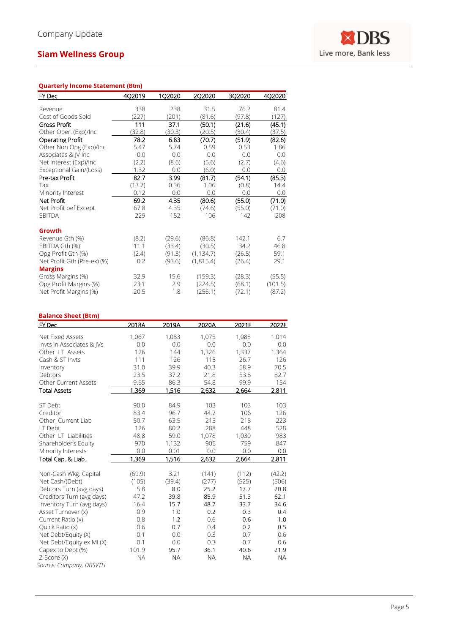#### **Quarterly Income Statement (Bt m )**

|        |        |            |        | 4Q2020  |
|--------|--------|------------|--------|---------|
|        |        |            |        |         |
| 338    | 238    | 31.5       | 76.2   | 81.4    |
| (227)  | (201)  | (81.6)     | (97.8) | (127)   |
| 111    | 37.1   | (50.1)     | (21.6) | (45.1)  |
| (32.8) | (30.3) | (20.5)     | (30.4) | (37.5)  |
| 78.2   | 6.83   | (70.7)     | (51.9) | (82.6)  |
| 5.47   | 5.74   | 0.59       | 0.53   | 1.86    |
| 0.0    | 0.0    | 0.0        | 0.0    | 0.0     |
| (2.2)  | (8.6)  | (5.6)      | (2.7)  | (4.6)   |
| 1.32   | 0.0    | (6.0)      | 0.0    | 0.0     |
| 82.7   | 3.99   | (81.7)     | (54.1) | (85.3)  |
| (13.7) | 0.36   | 1.06       | (0.8)  | 14.4    |
| 0.12   | 0.0    | 0.0        | 0.0    | 0.0     |
| 69.2   | 4.35   | (80.6)     | (55.0) | (71.0)  |
| 67.8   | 4.35   | (74.6)     | (55.0) | (71.0)  |
| 229    | 152    | 106        | 142    | 208     |
|        |        |            |        |         |
|        |        |            |        |         |
| (8.2)  | (29.6) | (86.8)     | 142.1  | 6.7     |
| 11.1   | (33.4) | (30.5)     | 34.2   | 46.8    |
| (2.4)  | (91.3) | (1, 134.7) | (26.5) | 59.1    |
| 0.2    | (93.6) | (1,815.4)  | (26.4) | 29.1    |
|        |        |            |        |         |
| 32.9   | 15.6   | (159.3)    | (28.3) | (55.5)  |
| 23.1   | 2.9    | (224.5)    | (68.1) | (101.5) |
| 20.5   | 1.8    | (256.1)    | (72.1) | (87.2)  |
|        | 402019 | 1Q2020     | 2Q2020 | 3Q2020  |

#### **Balance Sheet (Bt m )**

| $EY$ Dec                    | 2018A     | 2019A     | 2020A     | 2021F     | 2022F     |
|-----------------------------|-----------|-----------|-----------|-----------|-----------|
| Net Fixed Assets            | 1,067     | 1,083     | 1,075     | 1,088     | 1,014     |
|                             | 0.0       | 0.0       | 0.0       | 0.0       | 0.0       |
| Invts in Associates & IVs   |           |           |           |           |           |
| Other LT Assets             | 126       | 144       | 1,326     | 1,337     | 1,364     |
| Cash & ST Invts             | 111       | 126       | 115       | 26.7      | 126       |
| Inventory                   | 31.0      | 39.9      | 40.3      | 58.9      | 70.5      |
| Debtors                     | 23.5      | 37.2      | 21.8      | 53.8      | 82.7      |
| <b>Other Current Assets</b> | 9.65      | 86.3      | 54.8      | 99.9      | 154       |
| <b>Total Assets</b>         | 1,369     | 1,516     | 2,632     | 2,664     | 2,811     |
| ST Debt                     | 90.0      | 84.9      | 103       | 103       | 103       |
| Creditor                    | 83.4      | 96.7      | 44.7      | 106       | 126       |
| Other Current Liab          | 50.7      | 63.5      | 213       | 218       | 223       |
| LT Debt                     | 126       | 80.2      | 288       | 448       | 528       |
|                             |           |           |           |           |           |
| Other LT Liabilities        | 48.8      | 59.0      | 1,078     | 1,030     | 983       |
| Shareholder's Equity        | 970       | 1,132     | 905       | 759       | 847       |
| Minority Interests          | 0.0       | 0.01      | 0.0       | 0.0       | 0.0       |
| Total Cap. & Liab.          | 1,369     | 1,516     | 2,632     | 2,664     | 2,811     |
| Non-Cash Wkg. Capital       | (69.9)    | 3.21      | (141)     | (112)     | (42.2)    |
| Net Cash/(Debt)             | (105)     | (39.4)    | (277)     | (525)     | (506)     |
| Debtors Turn (avg days)     | 5.8       | 8.0       | 25.2      | 17.7      | 20.8      |
| Creditors Turn (avg days)   | 47.2      | 39.8      | 85.9      | 51.3      | 62.1      |
| Inventory Turn (avg days)   | 16.4      | 15.7      | 48.7      | 33.7      | 34.6      |
| Asset Turnover (x)          | 0.9       | 1.0       | 0.2       | 0.3       | 0.4       |
| Current Ratio (x)           | 0.8       | 1.2       | 0.6       | 0.6       | 1.0       |
| Quick Ratio (x)             | 0.6       | 0.7       | 0.4       | 0.2       | 0.5       |
| Net Debt/Equity (X)         | 0.1       | 0.0       | 0.3       | 0.7       | 0.6       |
| Net Debt/Equity ex MI (X)   | 0.1       | 0.0       | 0.3       | 0.7       | 0.6       |
| Capex to Debt (%)           | 101.9     | 95.7      | 36.1      | 40.6      | 21.9      |
| Z-Score (X)                 | <b>NA</b> | <b>NA</b> | <b>NA</b> | <b>NA</b> | <b>NA</b> |
| Source: Company, DBSVTH     |           |           |           |           |           |
|                             |           |           |           |           |           |

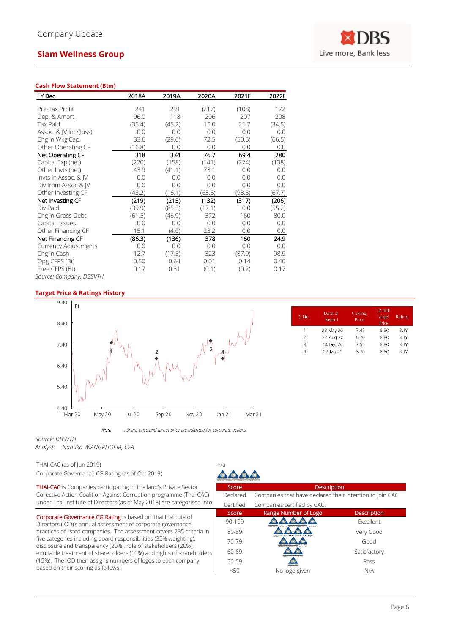#### **Cash Flow Statement (Btm)**

| FY Dec                  | 2018A  | 2019A  | 2020A  | 2021F  | 2022F  |
|-------------------------|--------|--------|--------|--------|--------|
| Pre-Tax Profit          | 241    | 291    | (217)  | (108)  | 172    |
|                         | 96.0   | 118    | 206    | 207    | 208    |
| Dep. & Amort.           |        |        |        |        |        |
| Tax Paid                | (35.4) | (45.2) | 15.0   | 21.7   | (34.5) |
| Assoc. & JV Inc/(loss)  | 0.0    | 0.0    | 0.0    | 0.0    | 0.0    |
| Chg in Wkg.Cap.         | 33.6   | (29.6) | 72.5   | (50.5) | (66.5) |
| Other Operating CF      | (16.8) | 0.0    | 0.0    | 0.0    | 0.0    |
| Net Operating CF        | 318    | 334    | 76.7   | 69.4   | 280    |
| Capital Exp.(net)       | (220)  | (158)  | (141)  | (224)  | (138)  |
| Other Invts.(net)       | 43.9   | (41.1) | 73.1   | 0.0    | 0.0    |
| Invts in Assoc. & JV    | 0.0    | 0.0    | 0.0    | 0.0    | 0.0    |
| Div from Assoc & IV     | 0.0    | 0.0    | 0.0    | 0.0    | 0.0    |
| Other Investing CF      | (43.2) | (16.1) | (63.5) | (93.3) | (67.7) |
| Net Investing CF        | (219)  | (215)  | (132)  | (317)  | (206)  |
| Div Paid                | (39.9) | (85.5) | (17.1) | 0.0    | (55.2) |
| Chg in Gross Debt       | (61.5) | (46.9) | 372    | 160    | 80.0   |
| Capital Issues          | 0.0    | 0.0    | 0.0    | 0.0    | 0.0    |
| Other Financing CF      | 15.1   | (4.0)  | 23.2   | 0.0    | 0.0    |
| Net Financing CF        | (86.3) | (136)  | 378    | 160    | 24.9   |
| Currency Adjustments    | 0.0    | 0.0    | 0.0    | 0.0    | 0.0    |
| Chg in Cash             | 12.7   | (17.5) | 323    | (87.9) | 98.9   |
| Opg CFPS (Bt)           | 0.50   | 0.64   | 0.01   | 0.14   | 0.40   |
| Free CFPS (Bt)          | 0.17   | 0.31   | (0.1)  | (0.2)  | 0.17   |
| Source: Company, DBSVTH |        |        |        |        |        |

#### **Target Price & Ratings History**



*Source: DBSVTH*

*Analyst: Nantika WIANGPHOEM, CFA*

THAI-CAC (as of Jun 2019) n/a Corporate Governance CG Rating (as of Oct 2019)

THAI-CAC is Companies participating in Thailand's Private Sector Collective Action Coalition Against Corruption programme (Thai CAC) under Thai Institute of Directors (as of May 2018) are categorised into:

Corporate Governance CG Rating is based on Thai Institute of Directors (IOD)'s annual assessment of corporate governance practices of listed companies. The assessment covers 235 criteria in five categories including board responsibilities (35% weighting), disclosure and transparency (20%), role of stakeholders (20%), equitable treatment of shareholders (10%) and rights of shareholders (15%). The IOD then assigns numbers of logos to each company based on their scoring as follows:

| S.No. | Date of<br>Report | Closing<br>Price | $12 - mth$<br>Target<br>Price | Rating |
|-------|-------------------|------------------|-------------------------------|--------|
| 1:    | 28 May 20         | 7.45             | 8.80                          | BUY    |
| 7.    | 27 Aug 20         | 6.70             | 8.80                          | BUY    |
| ٩.    | 14 Dec 20         | 755              | 8.80                          | BUY    |
| 4.    | 07 Jan 21         | 6.70             | 8.60                          | BUY    |

| Score      | <b>Description</b>                                       |                    |
|------------|----------------------------------------------------------|--------------------|
| Declared   | Companies that have declared their intention to join CAC |                    |
| Certified  | Companies certified by CAC.                              |                    |
| Score      | Range Number of Logo                                     | <b>Description</b> |
| $90 - 100$ |                                                          | <b>Excellent</b>   |
| 80-89      |                                                          | Very Good          |
| 70-79      |                                                          | Good               |
| 60-69      | <b>Incellera Identification Iden</b>                     | Satisfactory       |
| 50-59      |                                                          | Pass               |
| 50<        | No logo given                                            | N/A                |
|            |                                                          |                    |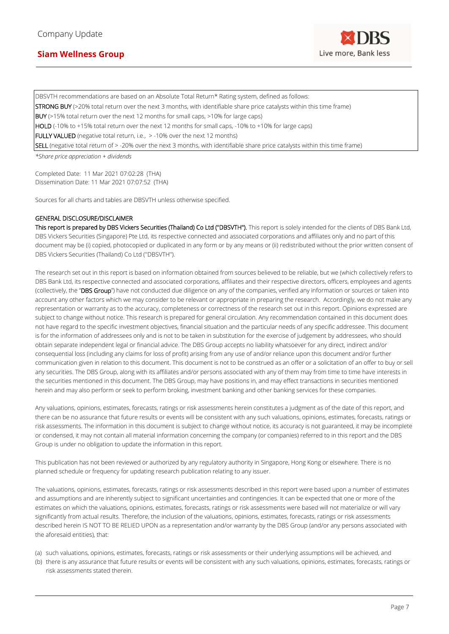DBSVTH recommendations are based on an Absolute Total Return\* Rating system, defined as follows:

STRONG BUY (>20% total return over the next 3 months, with identifiable share price catalysts within this time frame)

BUY (>15% total return over the next 12 months for small caps, >10% for large caps)

HOLD (-10% to +15% total return over the next 12 months for small caps, -10% to +10% for large caps)

FULLY VALUED (negative total return, i.e., > -10% over the next 12 months)

SELL (negative total return of > -20% over the next 3 months, with identifiable share price catalysts within this time frame)

*\*Share price appreciation + dividends*

Completed Date: 11 Mar 2021 07:02:28 (THA) Dissemination Date: 11 Mar 2021 07:07:52 (THA)

Sources for all charts and tables are DBSVTH unless otherwise specified.

#### GENERAL DISCLOSURE/DISCLAIMER

This report is prepared by DBS Vickers Securities (Thailand) Co Ltd ("DBSVTH"). This report is solely intended for the clients of DBS Bank Ltd, DBS Vickers Securities (Singapore) Pte Ltd, its respective connected and associated corporations and affiliates only and no part of this document may be (i) copied, photocopied or duplicated in any form or by any means or (ii) redistributed without the prior written consent of DBS Vickers Securities (Thailand) Co Ltd (''DBSVTH'').

The research set out in this report is based on information obtained from sources believed to be reliable, but we (which collectively refers to DBS Bank Ltd, its respective connected and associated corporations, affiliates and their respective directors, officers, employees and agents (collectively, the "DBS Group") have not conducted due diligence on any of the companies, verified any information or sources or taken into account any other factors which we may consider to be relevant or appropriate in preparing the research. Accordingly, we do not make any representation or warranty as to the accuracy, completeness or correctness of the research set out in this report. Opinions expressed are subject to change without notice. This research is prepared for general circulation. Any recommendation contained in this document does not have regard to the specific investment objectives, financial situation and the particular needs of any specific addressee. This document is for the information of addressees only and is not to be taken in substitution for the exercise of judgement by addressees, who should obtain separate independent legal or financial advice. The DBS Group accepts no liability whatsoever for any direct, indirect and/or consequential loss (including any claims for loss of profit) arising from any use of and/or reliance upon this document and/or further communication given in relation to this document. This document is not to be construed as an offer or a solicitation of an offer to buy or sell any securities. The DBS Group, along with its affiliates and/or persons associated with any of them may from time to time have interests in the securities mentioned in this document. The DBS Group, may have positions in, and may effect transactions in securities mentioned herein and may also perform or seek to perform broking, investment banking and other banking services for these companies.

Any valuations, opinions, estimates, forecasts, ratings or risk assessments herein constitutes a judgment as of the date of this report, and there can be no assurance that future results or events will be consistent with any such valuations, opinions, estimates, forecasts, ratings or risk assessments. The information in this document is subject to change without notice, its accuracy is not guaranteed, it may be incomplete or condensed, it may not contain all material information concerning the company (or companies) referred to in this report and the DBS Group is under no obligation to update the information in this report.

This publication has not been reviewed or authorized by any regulatory authority in Singapore, Hong Kong or elsewhere. There is no planned schedule or frequency for updating research publication relating to any issuer.

The valuations, opinions, estimates, forecasts, ratings or risk assessments described in this report were based upon a number of estimates and assumptions and are inherently subject to significant uncertainties and contingencies. It can be expected that one or more of the estimates on which the valuations, opinions, estimates, forecasts, ratings or risk assessments were based will not materialize or will vary significantly from actual results. Therefore, the inclusion of the valuations, opinions, estimates, forecasts, ratings or risk assessments described herein IS NOT TO BE RELIED UPON as a representation and/or warranty by the DBS Group (and/or any persons associated with the aforesaid entities), that:

- (a) such valuations, opinions, estimates, forecasts, ratings or risk assessments or their underlying assumptions will be achieved, and
- (b) there is any assurance that future results or events will be consistent with any such valuations, opinions, estimates, forecasts, ratings or risk assessments stated therein.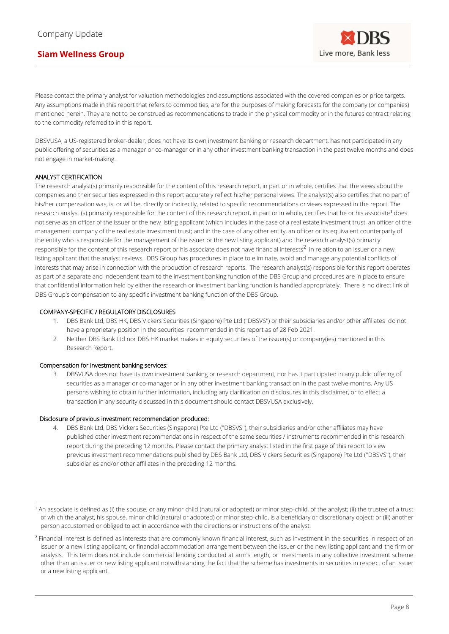Please contact the primary analyst for valuation methodologies and assumptions associated with the covered companies or price targets. Any assumptions made in this report that refers to commodities, are for the purposes of making forecasts for the company (or companies) mentioned herein. They are not to be construed as recommendations to trade in the physical commodity or in the futures contract relating to the commodity referred to in this report.

DBSVUSA, a US-registered broker-dealer, does not have its own investment banking or research department, has not participated in any public offering of securities as a manager or co-manager or in any other investment banking transaction in the past twelve months and does not engage in market-making.

### ANALYST CERTIFICATION

The research analyst(s) primarily responsible for the content of this research report, in part or in whole, certifies that the views about the companies and their securities expressed in this report accurately reflect his/her personal views. The analyst(s) also certifies that no part of his/her compensation was, is, or will be, directly or indirectly, related to specific recommendations or views expressed in the report. The research analyst (s) primarily responsible for the content of this research report, in part or in whole, certifies that he or his associate<sup>1</sup> does not serve as an officer of the issuer or the new listing applicant (which includes in the case of a real estate investment trust, an officer of the management company of the real estate investment trust; and in the case of any other entity, an officer or its equivalent counterparty of the entity who is responsible for the management of the issuer or the new listing applicant) and the research analyst(s) primarily responsible for the content of this research report or his associate does not have financial interests $^2$  in relation to an issuer or a new listing applicant that the analyst reviews. DBS Group has procedures in place to eliminate, avoid and manage any potential conflicts of interests that may arise in connection with the production of research reports. The research analyst(s) responsible for this report operates as part of a separate and independent team to the investment banking function of the DBS Group and procedures are in place to ensure that confidential information held by either the research or investment banking function is handled appropriately. There is no direct link of DBS Group's compensation to any specific investment banking function of the DBS Group.

#### COMPANY-SPECIFIC / REGULATORY DISCLOSURES

- 1. DBS Bank Ltd, DBS HK, DBS Vickers Securities (Singapore) Pte Ltd (''DBSVS'') or their subsidiaries and/or other affiliates do not have a proprietary position in the securities recommended in this report as of 28 Feb 2021.
- 2. Neither DBS Bank Ltd nor DBS HK market makes in equity securities of the issuer(s) or company(ies) mentioned in this Research Report.

#### Compensation for investment banking services:

3. DBSVUSA does not have its own investment banking or research department, nor has it participated in any public offering of securities as a manager or co-manager or in any other investment banking transaction in the past twelve months. Any US persons wishing to obtain further information, including any clarification on disclosures in this disclaimer, or to effect a transaction in any security discussed in this document should contact DBSVUSA exclusively.

#### Disclosure of previous investment recommendation produced:

DBS Bank Ltd, DBS Vickers Securities (Singapore) Pte Ltd ("DBSVS"), their subsidiaries and/or other affiliates may have published other investment recommendations in respect of the same securities / instruments recommended in this research report during the preceding 12 months. Please contact the primary analyst listed in the first page of this report to view previous investment recommendations published by DBS Bank Ltd, DBS Vickers Securities (Singapore) Pte Ltd (''DBSVS''), their subsidiaries and/or other affiliates in the preceding 12 months.

<sup>&</sup>lt;sup>1</sup> An associate is defined as (i) the spouse, or any minor child (natural or adopted) or minor step-child, of the analyst; (ii) the trustee of a trust of which the analyst, his spouse, minor child (natural or adopted) or minor step-child, is a beneficiary or discretionary object; or (iii) another person accustomed or obliged to act in accordance with the directions or instructions of the analyst.

<sup>&</sup>lt;sup>2</sup> Financial interest is defined as interests that are commonly known financial interest, such as investment in the securities in respect of an issuer or a new listing applicant, or financial accommodation arrangement between the issuer or the new listing applicant and the firm or analysis. This term does not include commercial lending conducted at arm's length, or investments in any collective investment scheme other than an issuer or new listing applicant notwithstanding the fact that the scheme has investments in securities in respect of an issuer or a new listing applicant.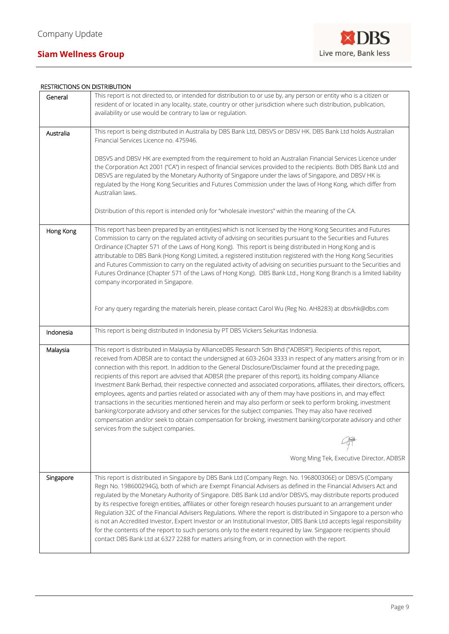

### RESTRICTIONS ON DISTRIBUTION

|           | אוטוו טפואז כוש אוט כאוטוו טוא נכבא                                                                                                                                                                                                                                                                                                                                                                                                                                                                                                                                                                                                                                                                                                                                                                                                                                                                                                                                                                                                                                                   |
|-----------|---------------------------------------------------------------------------------------------------------------------------------------------------------------------------------------------------------------------------------------------------------------------------------------------------------------------------------------------------------------------------------------------------------------------------------------------------------------------------------------------------------------------------------------------------------------------------------------------------------------------------------------------------------------------------------------------------------------------------------------------------------------------------------------------------------------------------------------------------------------------------------------------------------------------------------------------------------------------------------------------------------------------------------------------------------------------------------------|
| General   | This report is not directed to, or intended for distribution to or use by, any person or entity who is a citizen or<br>resident of or located in any locality, state, country or other jurisdiction where such distribution, publication,<br>availability or use would be contrary to law or regulation.                                                                                                                                                                                                                                                                                                                                                                                                                                                                                                                                                                                                                                                                                                                                                                              |
| Australia | This report is being distributed in Australia by DBS Bank Ltd, DBSVS or DBSV HK. DBS Bank Ltd holds Australian<br>Financial Services Licence no. 475946.                                                                                                                                                                                                                                                                                                                                                                                                                                                                                                                                                                                                                                                                                                                                                                                                                                                                                                                              |
|           | DBSVS and DBSV HK are exempted from the requirement to hold an Australian Financial Services Licence under<br>the Corporation Act 2001 ("CA") in respect of financial services provided to the recipients. Both DBS Bank Ltd and<br>DBSVS are regulated by the Monetary Authority of Singapore under the laws of Singapore, and DBSV HK is<br>regulated by the Hong Kong Securities and Futures Commission under the laws of Hong Kong, which differ from<br>Australian laws.                                                                                                                                                                                                                                                                                                                                                                                                                                                                                                                                                                                                         |
|           | Distribution of this report is intended only for "wholesale investors" within the meaning of the CA.                                                                                                                                                                                                                                                                                                                                                                                                                                                                                                                                                                                                                                                                                                                                                                                                                                                                                                                                                                                  |
| Hong Kong | This report has been prepared by an entity(ies) which is not licensed by the Hong Kong Securities and Futures<br>Commission to carry on the regulated activity of advising on securities pursuant to the Securities and Futures<br>Ordinance (Chapter 571 of the Laws of Hong Kong). This report is being distributed in Hong Kong and is<br>attributable to DBS Bank (Hong Kong) Limited, a registered institution registered with the Hong Kong Securities<br>and Futures Commission to carry on the regulated activity of advising on securities pursuant to the Securities and<br>Futures Ordinance (Chapter 571 of the Laws of Hong Kong). DBS Bank Ltd., Hong Kong Branch is a limited liability<br>company incorporated in Singapore.                                                                                                                                                                                                                                                                                                                                          |
|           | For any query regarding the materials herein, please contact Carol Wu (Reg No. AH8283) at dbsvhk@dbs.com                                                                                                                                                                                                                                                                                                                                                                                                                                                                                                                                                                                                                                                                                                                                                                                                                                                                                                                                                                              |
| Indonesia | This report is being distributed in Indonesia by PT DBS Vickers Sekuritas Indonesia.                                                                                                                                                                                                                                                                                                                                                                                                                                                                                                                                                                                                                                                                                                                                                                                                                                                                                                                                                                                                  |
| Malaysia  | This report is distributed in Malaysia by AllianceDBS Research Sdn Bhd ("ADBSR"). Recipients of this report,<br>received from ADBSR are to contact the undersigned at 603-2604 3333 in respect of any matters arising from or in<br>connection with this report. In addition to the General Disclosure/Disclaimer found at the preceding page,<br>recipients of this report are advised that ADBSR (the preparer of this report), its holding company Alliance<br>Investment Bank Berhad, their respective connected and associated corporations, affiliates, their directors, officers,<br>employees, agents and parties related or associated with any of them may have positions in, and may effect<br>transactions in the securities mentioned herein and may also perform or seek to perform broking, investment<br>banking/corporate advisory and other services for the subject companies. They may also have received<br>compensation and/or seek to obtain compensation for broking, investment banking/corporate advisory and other<br>services from the subject companies. |
|           |                                                                                                                                                                                                                                                                                                                                                                                                                                                                                                                                                                                                                                                                                                                                                                                                                                                                                                                                                                                                                                                                                       |
|           | Wong Ming Tek, Executive Director, ADBSR                                                                                                                                                                                                                                                                                                                                                                                                                                                                                                                                                                                                                                                                                                                                                                                                                                                                                                                                                                                                                                              |
| Singapore | This report is distributed in Singapore by DBS Bank Ltd (Company Regn. No. 196800306E) or DBSVS (Company<br>Regn No. 198600294G), both of which are Exempt Financial Advisers as defined in the Financial Advisers Act and<br>regulated by the Monetary Authority of Singapore. DBS Bank Ltd and/or DBSVS, may distribute reports produced<br>by its respective foreign entities, affiliates or other foreign research houses pursuant to an arrangement under<br>Regulation 32C of the Financial Advisers Regulations. Where the report is distributed in Singapore to a person who<br>is not an Accredited Investor, Expert Investor or an Institutional Investor, DBS Bank Ltd accepts legal responsibility<br>for the contents of the report to such persons only to the extent required by law. Singapore recipients should<br>contact DBS Bank Ltd at 6327 2288 for matters arising from, or in connection with the report.                                                                                                                                                     |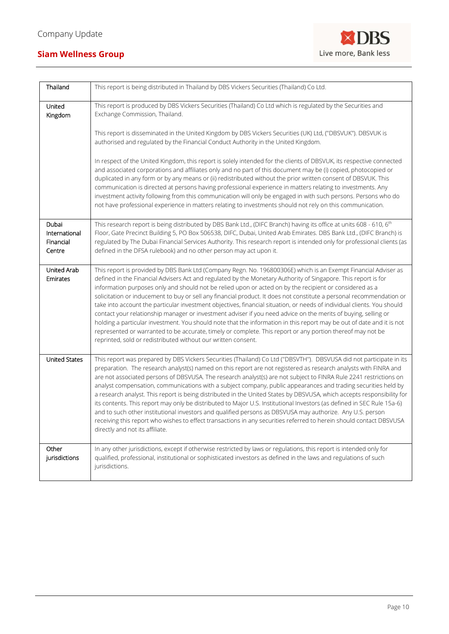

| Thailand                                      | This report is being distributed in Thailand by DBS Vickers Securities (Thailand) Co Ltd.                                                                                                                                                                                                                                                                                                                                                                                                                                                                                                                                                                                                                                                                                                                                                                                                                                                                                                                                |
|-----------------------------------------------|--------------------------------------------------------------------------------------------------------------------------------------------------------------------------------------------------------------------------------------------------------------------------------------------------------------------------------------------------------------------------------------------------------------------------------------------------------------------------------------------------------------------------------------------------------------------------------------------------------------------------------------------------------------------------------------------------------------------------------------------------------------------------------------------------------------------------------------------------------------------------------------------------------------------------------------------------------------------------------------------------------------------------|
| United<br>Kingdom                             | This report is produced by DBS Vickers Securities (Thailand) Co Ltd which is regulated by the Securities and<br>Exchange Commission, Thailand.                                                                                                                                                                                                                                                                                                                                                                                                                                                                                                                                                                                                                                                                                                                                                                                                                                                                           |
|                                               | This report is disseminated in the United Kingdom by DBS Vickers Securities (UK) Ltd, ("DBSVUK"). DBSVUK is<br>authorised and regulated by the Financial Conduct Authority in the United Kingdom.                                                                                                                                                                                                                                                                                                                                                                                                                                                                                                                                                                                                                                                                                                                                                                                                                        |
|                                               | In respect of the United Kingdom, this report is solely intended for the clients of DBSVUK, its respective connected<br>and associated corporations and affiliates only and no part of this document may be (i) copied, photocopied or<br>duplicated in any form or by any means or (ii) redistributed without the prior written consent of DBSVUK. This<br>communication is directed at persons having professional experience in matters relating to investments. Any<br>investment activity following from this communication will only be engaged in with such persons. Persons who do<br>not have professional experience in matters relating to investments should not rely on this communication.                                                                                                                                                                                                                                                                                                                 |
| Dubai<br>International<br>Financial<br>Centre | This research report is being distributed by DBS Bank Ltd., (DIFC Branch) having its office at units 608 - 610, 6 <sup>th</sup><br>Floor, Gate Precinct Building 5, PO Box 506538, DIFC, Dubai, United Arab Emirates. DBS Bank Ltd., (DIFC Branch) is<br>regulated by The Dubai Financial Services Authority. This research report is intended only for professional clients (as<br>defined in the DFSA rulebook) and no other person may act upon it.                                                                                                                                                                                                                                                                                                                                                                                                                                                                                                                                                                   |
| <b>United Arab</b><br>Emirates                | This report is provided by DBS Bank Ltd (Company Regn. No. 196800306E) which is an Exempt Financial Adviser as<br>defined in the Financial Advisers Act and regulated by the Monetary Authority of Singapore. This report is for<br>information purposes only and should not be relied upon or acted on by the recipient or considered as a<br>solicitation or inducement to buy or sell any financial product. It does not constitute a personal recommendation or<br>take into account the particular investment objectives, financial situation, or needs of individual clients. You should<br>contact your relationship manager or investment adviser if you need advice on the merits of buying, selling or<br>holding a particular investment. You should note that the information in this report may be out of date and it is not<br>represented or warranted to be accurate, timely or complete. This report or any portion thereof may not be<br>reprinted, sold or redistributed without our written consent. |
| <b>United States</b>                          | This report was prepared by DBS Vickers Securities (Thailand) Co Ltd ("DBSVTH"). DBSVUSA did not participate in its<br>preparation. The research analyst(s) named on this report are not registered as research analysts with FINRA and<br>are not associated persons of DBSVUSA. The research analyst(s) are not subject to FINRA Rule 2241 restrictions on<br>analyst compensation, communications with a subject company, public appearances and trading securities held by<br>a research analyst. This report is being distributed in the United States by DBSVUSA, which accepts responsibility for<br>its contents. This report may only be distributed to Major U.S. Institutional Investors (as defined in SEC Rule 15a-6)<br>and to such other institutional investors and qualified persons as DBSVUSA may authorize. Any U.S. person<br>receiving this report who wishes to effect transactions in any securities referred to herein should contact DBSVUSA<br>directly and not its affiliate.                |
| Other<br>jurisdictions                        | In any other jurisdictions, except if otherwise restricted by laws or regulations, this report is intended only for<br>qualified, professional, institutional or sophisticated investors as defined in the laws and regulations of such<br>jurisdictions.                                                                                                                                                                                                                                                                                                                                                                                                                                                                                                                                                                                                                                                                                                                                                                |